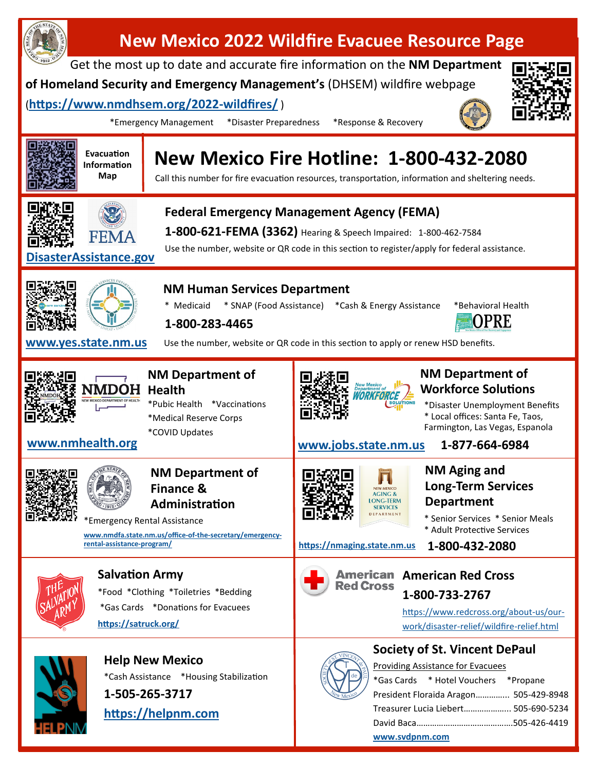